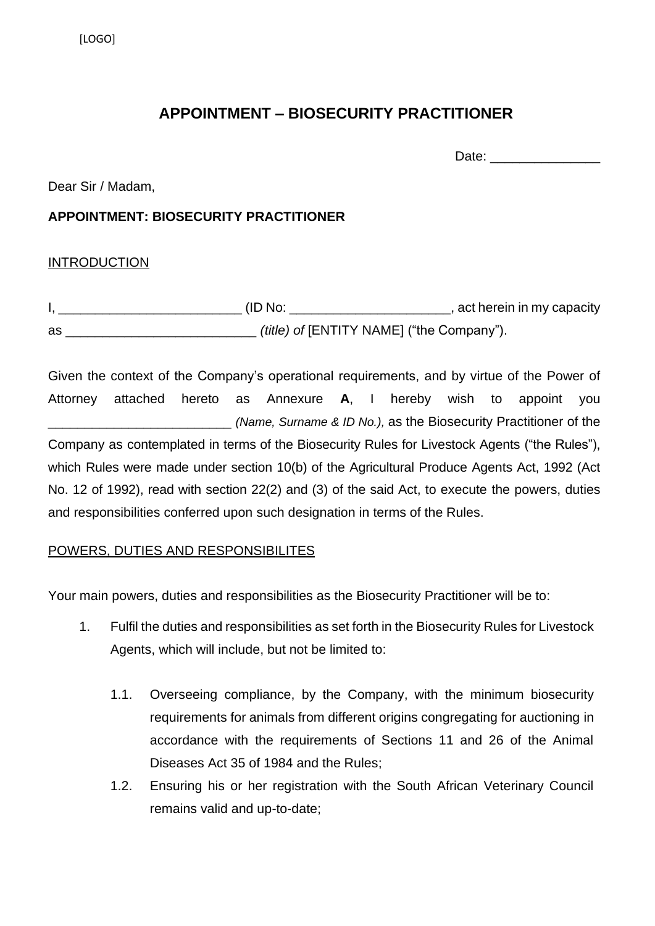# **APPOINTMENT – BIOSECURITY PRACTITIONER**

Date: \_\_\_\_\_\_\_\_\_\_\_\_\_\_\_

Dear Sir / Madam,

## **APPOINTMENT: BIOSECURITY PRACTITIONER**

### **INTRODUCTION**

|    | (ID No: | , act herein in my capacity                      |
|----|---------|--------------------------------------------------|
| as |         | <i>(title) of [ENTITY NAME] ("the Company").</i> |

Given the context of the Company's operational requirements, and by virtue of the Power of Attorney attached hereto as Annexure **A**, I hereby wish to appoint you \_\_\_\_\_\_\_\_\_\_\_\_\_\_\_\_\_\_\_\_\_\_\_\_\_ *(Name, Surname & ID No.),* as the Biosecurity Practitioner of the Company as contemplated in terms of the Biosecurity Rules for Livestock Agents ("the Rules"), which Rules were made under section 10(b) of the Agricultural Produce Agents Act, 1992 (Act No. 12 of 1992), read with section 22(2) and (3) of the said Act, to execute the powers, duties and responsibilities conferred upon such designation in terms of the Rules.

### POWERS, DUTIES AND RESPONSIBILITES

Your main powers, duties and responsibilities as the Biosecurity Practitioner will be to:

- 1. Fulfil the duties and responsibilities as set forth in the Biosecurity Rules for Livestock Agents, which will include, but not be limited to:
	- 1.1. Overseeing compliance, by the Company, with the minimum biosecurity requirements for animals from different origins congregating for auctioning in accordance with the requirements of Sections 11 and 26 of the Animal Diseases Act 35 of 1984 and the Rules;
	- 1.2. Ensuring his or her registration with the South African Veterinary Council remains valid and up-to-date;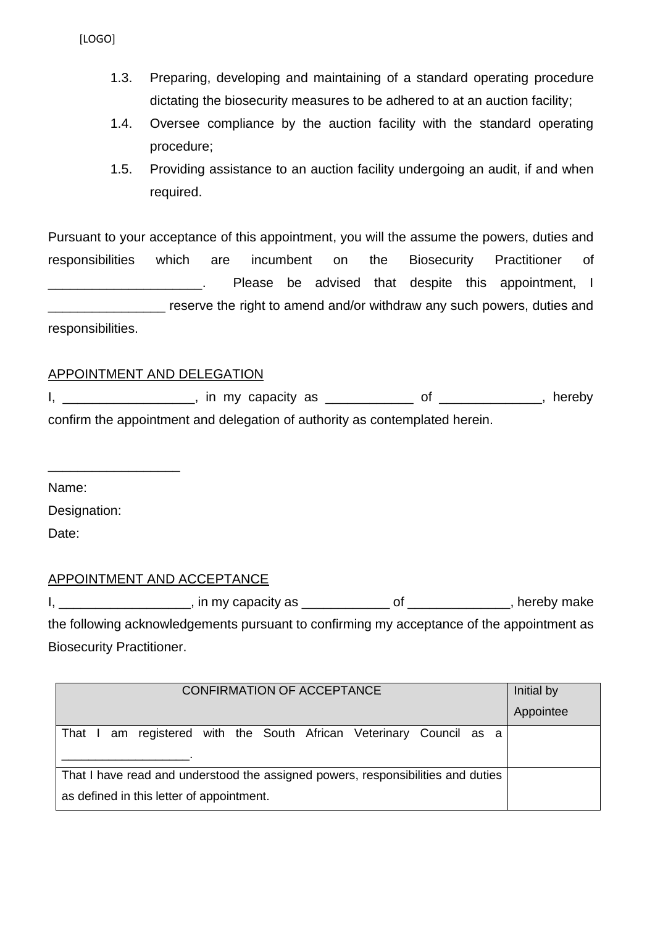[LOGO]

- 1.3. Preparing, developing and maintaining of a standard operating procedure dictating the biosecurity measures to be adhered to at an auction facility;
- 1.4. Oversee compliance by the auction facility with the standard operating procedure;
- 1.5. Providing assistance to an auction facility undergoing an audit, if and when required.

Pursuant to your acceptance of this appointment, you will the assume the powers, duties and responsibilities which are incumbent on the Biosecurity Practitioner of \_\_\_\_\_\_\_\_\_\_\_\_\_\_\_\_\_\_\_\_\_. Please be advised that despite this appointment, I reserve the right to amend and/or withdraw any such powers, duties and responsibilities.

#### APPOINTMENT AND DELEGATION

I, \_\_\_\_\_\_\_\_\_\_\_\_\_\_\_\_\_, in my capacity as \_\_\_\_\_\_\_\_\_\_\_\_\_\_ of \_\_\_\_\_\_\_\_\_\_\_\_\_, hereby confirm the appointment and delegation of authority as contemplated herein.

Name:

Designation:

\_\_\_\_\_\_\_\_\_\_\_\_\_\_\_\_\_\_

Date:

### APPOINTMENT AND ACCEPTANCE

I, \_\_\_\_\_\_\_\_\_\_\_\_\_\_\_\_\_\_\_\_, in my capacity as \_\_\_\_\_\_\_\_\_\_\_\_\_\_\_\_\_\_\_\_\_\_\_\_\_\_\_\_\_\_\_\_\_\_, hereby make the following acknowledgements pursuant to confirming my acceptance of the appointment as Biosecurity Practitioner.

| <b>CONFIRMATION OF ACCEPTANCE</b>                                                | Initial by |
|----------------------------------------------------------------------------------|------------|
|                                                                                  | Appointee  |
| That I am registered with the South African Veterinary Council as a              |            |
|                                                                                  |            |
| That I have read and understood the assigned powers, responsibilities and duties |            |
| as defined in this letter of appointment.                                        |            |